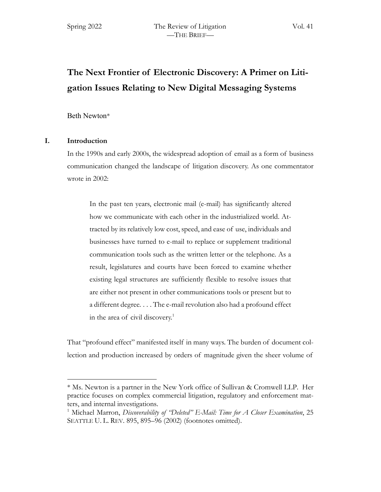# **The Next Frontier of Electronic Discovery: A Primer on Litigation Issues Relating to New Digital Messaging Systems**

# Beth Newton\*

# **I. Introduction**

In the 1990s and early 2000s, the widespread adoption of email as a form of business communication changed the landscape of litigation discovery. As one commentator wrote in 2002:

In the past ten years, electronic mail (e-mail) has significantly altered how we communicate with each other in the industrialized world. Attracted by its relatively low cost, speed, and ease of use, individuals and businesses have turned to e-mail to replace or supplement traditional communication tools such as the written letter or the telephone. As a result, legislatures and courts have been forced to examine whether existing legal structures are sufficiently flexible to resolve issues that are either not present in other communications tools or present but to a different degree. . . . The e-mail revolution also had a profound effect in the area of civil discovery.<sup>1</sup>

That "profound effect" manifested itself in many ways. The burden of document collection and production increased by orders of magnitude given the sheer volume of

<sup>\*</sup> Ms. Newton is a partner in the New York office of Sullivan & Cromwell LLP. Her practice focuses on complex commercial litigation, regulatory and enforcement matters, and internal investigations.

<sup>1</sup> Michael Marron, *Discoverability of "Deleted" E-Mail: Time for A Closer Examination*, 25 SEATTLE U. L. REV. 895, 895–96 (2002) (footnotes omitted).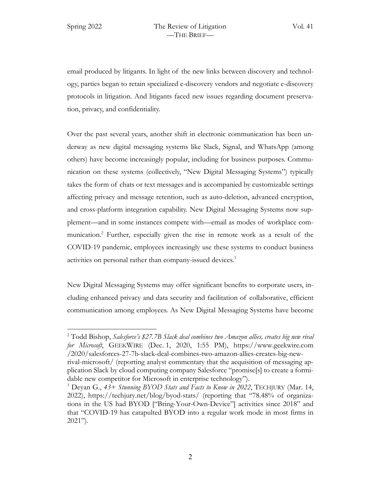email produced by litigants. In light of the new links between discovery and technology, parties began to retain specialized e-discovery vendors and negotiate e-discovery protocols in litigation. And litigants faced new issues regarding document preservation, privacy, and confidentiality.

Over the past several years, another shift in electronic communication has been underway as new digital messaging systems like Slack, Signal, and WhatsApp (among others) have become increasingly popular, including for business purposes. Communication on these systems (collectively, "New Digital Messaging Systems") typically takes the form of chats or text messages and is accompanied by customizable settings affecting privacy and message retention, such as auto-deletion, advanced encryption, and cross-platform integration capability. New Digital Messaging Systems now supplement—and in some instances compete with—email as modes of workplace communication.2 Further, especially given the rise in remote work as a result of the COVID-19 pandemic, employees increasingly use these systems to conduct business activities on personal rather than company-issued devices.<sup>3</sup>

New Digital Messaging Systems may offer significant benefits to corporate users, including enhanced privacy and data security and facilitation of collaborative, efficient communication among employees. As New Digital Messaging Systems have become

<sup>2</sup> Todd Bishop, *Salesforce's \$27.7B Slack deal combines two Amazon allies, creates big new rival for Microsoft*, GEEKWIRE (Dec. 1, 2020, 1:55 PM), https://www.geekwire.com /2020/salesforces-27-7b-slack-deal-combines-two-amazon-allies-creates-big-new-

rival-microsoft/ (reporting analyst commentary that the acquisition of messaging application Slack by cloud computing company Salesforce "promise[s] to create a formidable new competitor for Microsoft in enterprise technology").

<sup>3</sup> Deyan G., *43+ Stunning BYOD Stats and Facts to Know in 2022*, TECHJURY (Mar. 14, 2022), https://techjury.net/blog/byod-stats/ (reporting that "78.48% of organizations in the US had BYOD ["Bring-Your-Own-Device"] activities since 2018" and that "COVID-19 has catapulted BYOD into a regular work mode in most firms in  $2021$ ").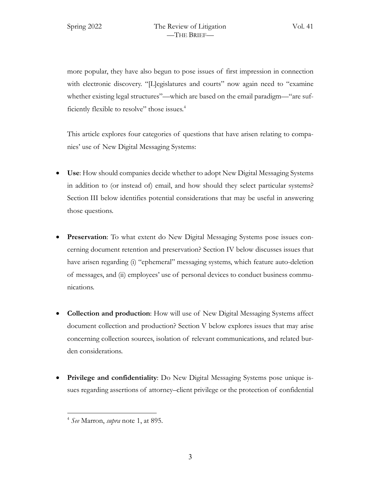more popular, they have also begun to pose issues of first impression in connection with electronic discovery. "[L]egislatures and courts" now again need to "examine whether existing legal structures"—which are based on the email paradigm—"are sufficiently flexible to resolve" those issues.<sup>4</sup>

This article explores four categories of questions that have arisen relating to companies' use of New Digital Messaging Systems:

- **Use**: How should companies decide whether to adopt New Digital Messaging Systems in addition to (or instead of) email, and how should they select particular systems? Section III below identifies potential considerations that may be useful in answering those questions.
- **Preservation**: To what extent do New Digital Messaging Systems pose issues concerning document retention and preservation? Section IV below discusses issues that have arisen regarding (i) "ephemeral" messaging systems, which feature auto-deletion of messages, and (ii) employees' use of personal devices to conduct business communications.
- **Collection and production**: How will use of New Digital Messaging Systems affect document collection and production? Section V below explores issues that may arise concerning collection sources, isolation of relevant communications, and related burden considerations.
- **Privilege and confidentiality**: Do New Digital Messaging Systems pose unique issues regarding assertions of attorney–client privilege or the protection of confidential

<sup>4</sup> *See* Marron, *supra* note 1, at 895.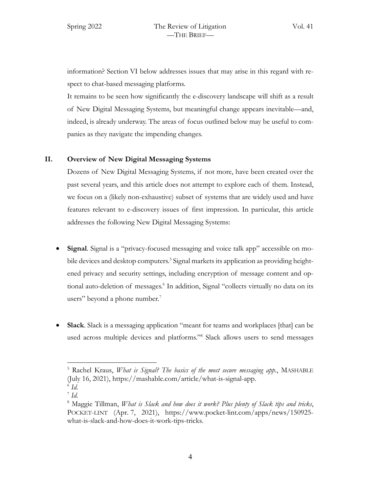information? Section VI below addresses issues that may arise in this regard with respect to chat-based messaging platforms.

It remains to be seen how significantly the e-discovery landscape will shift as a result of New Digital Messaging Systems, but meaningful change appears inevitable—and, indeed, is already underway. The areas of focus outlined below may be useful to companies as they navigate the impending changes.

### **II. Overview of New Digital Messaging Systems**

Dozens of New Digital Messaging Systems, if not more, have been created over the past several years, and this article does not attempt to explore each of them. Instead, we focus on a (likely non-exhaustive) subset of systems that are widely used and have features relevant to e-discovery issues of first impression. In particular, this article addresses the following New Digital Messaging Systems:

- **Signal**. Signal is a "privacy-focused messaging and voice talk app" accessible on mobile devices and desktop computers.<sup>5</sup> Signal markets its application as providing heightened privacy and security settings, including encryption of message content and optional auto-deletion of messages.<sup>6</sup> In addition, Signal "collects virtually no data on its users" beyond a phone number.<sup>7</sup>
- **Slack**. Slack is a messaging application "meant for teams and workplaces [that] can be used across multiple devices and platforms."8 Slack allows users to send messages

<sup>5</sup> Rachel Kraus, *What is Signal? The basics of the most secure messaging app.*, MASHABLE (July 16, 2021), https://mashable.com/article/what-is-signal-app.  $^6$  *Id.* 

 $^7$  *Id.* 

<sup>8</sup> Maggie Tillman, *What is Slack and how does it work? Plus plenty of Slack tips and tricks*, POCKET-LINT (Apr. 7, 2021), https://www.pocket-lint.com/apps/news/150925 what-is-slack-and-how-does-it-work-tips-tricks.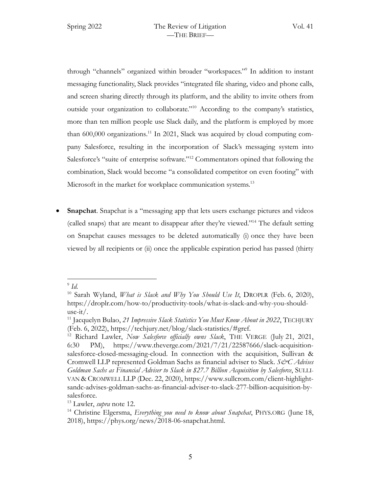through "channels" organized within broader "workspaces."9 In addition to instant messaging functionality, Slack provides "integrated file sharing, video and phone calls, and screen sharing directly through its platform, and the ability to invite others from outside your organization to collaborate."10 According to the company's statistics, more than ten million people use Slack daily, and the platform is employed by more than 600,000 organizations.<sup>11</sup> In 2021, Slack was acquired by cloud computing company Salesforce, resulting in the incorporation of Slack's messaging system into Salesforce's "suite of enterprise software."<sup>12</sup> Commentators opined that following the combination, Slack would become "a consolidated competitor on even footing" with Microsoft in the market for workplace communication systems.<sup>13</sup>

**Snapchat**. Snapchat is a "messaging app that lets users exchange pictures and videos (called snaps) that are meant to disappear after they're viewed."14 The default setting on Snapchat causes messages to be deleted automatically (i) once they have been viewed by all recipients or (ii) once the applicable expiration period has passed (thirty

 $\rm{^9}$  *Id.* 

<sup>10</sup> Sarah Wyland, *What is Slack and Why You Should Use It*, DROPLR (Feb. 6, 2020), https://droplr.com/how-to/productivity-tools/what-is-slack-and-why-you-shoulduse-it/.

<sup>&</sup>lt;sup>11</sup> Jacquelyn Bulao, 21 Impressive Slack Statistics You Must Know About in 2022, TECHJURY (Feb. 6, 2022), https://techjury.net/blog/slack-statistics/#gref.

<sup>12</sup> Richard Lawler, *Now Salesforce officially owns Slack*, THE VERGE (July 21, 2021, 6:30 PM), https://www.theverge.com/2021/7/21/22587666/slack-acquisitionsalesforce-closed-messaging-cloud. In connection with the acquisition, Sullivan & Cromwell LLP represented Goldman Sachs as financial adviser to Slack. *S&C Advises Goldman Sachs as Financial Adviser to Slack in \$27.7 Billion Acquisition by Salesforce*, SULLI-VAN & CROMWELL LLP (Dec. 22, 2020), https://www.sullcrom.com/client-highlightsandc-advises-goldman-sachs-as-financial-adviser-to-slack-277-billion-acquisition-bysalesforce.

<sup>13</sup> Lawler, *supra* note 12.

<sup>14</sup> Christine Elgersma, *Everything you need to know about Snapchat*, PHYS.ORG (June 18, 2018), https://phys.org/news/2018-06-snapchat.html.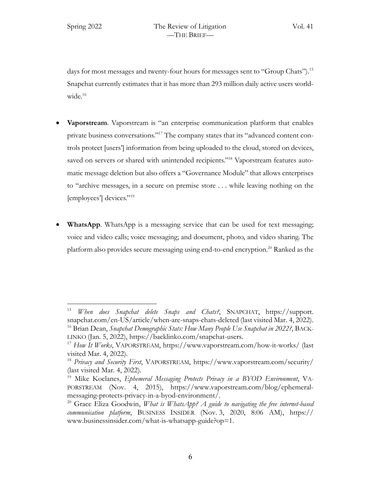days for most messages and twenty-four hours for messages sent to "Group Chats").<sup>15</sup> Snapchat currently estimates that it has more than 293 million daily active users worldwide.<sup>16</sup>

- **Vaporstream**. Vaporstream is "an enterprise communication platform that enables private business conversations."17 The company states that its "advanced content controls protect [users'] information from being uploaded to the cloud, stored on devices, saved on servers or shared with unintended recipients."<sup>18</sup> Vaporstream features automatic message deletion but also offers a "Governance Module" that allows enterprises to "archive messages, in a secure on premise store . . . while leaving nothing on the [employees'] devices."19
- **WhatsApp**. WhatsApp is a messaging service that can be used for text messaging; voice and video calls; voice messaging; and document, photo, and video sharing. The platform also provides secure messaging using end-to-end encryption.<sup>20</sup> Ranked as the

<sup>15</sup> *When does Snapchat delete Snaps and Chats?*, SNAPCHAT, https://support. snapchat.com/en-US/article/when-are-snaps-chats-deleted (last visited Mar. 4, 2022). <sup>16</sup> Brian Dean, *Snapchat Demographic Stats: How Many People Use Snapchat in 2022?*, BACK-LINKO (Jan. 5, 2022), https://backlinko.com/snapchat-users.

<sup>17</sup> *How It Works*, VAPORSTREAM, https://www.vaporstream.com/how-it-works/ (last visited Mar. 4, 2022).

<sup>18</sup> *Privacy and Security First*, VAPORSTREAM, https://www.vaporstream.com/security/ (last visited Mar. 4, 2022).

<sup>19</sup> Mike Koclanes, *Ephemeral Messaging Protects Privacy in a BYOD Environment*, VA-PORSTREAM (Nov. 4, 2015), https://www.vaporstream.com/blog/ephemeralmessaging-protects-privacy-in-a-byod-environment/.

<sup>20</sup> Grace Eliza Goodwin, *What is WhatsApp? A guide to navigating the free internet-based communication platform*, BUSINESS INSIDER (Nov. 3, 2020, 8:06 AM), https:// www.businessinsider.com/what-is-whatsapp-guide?op=1.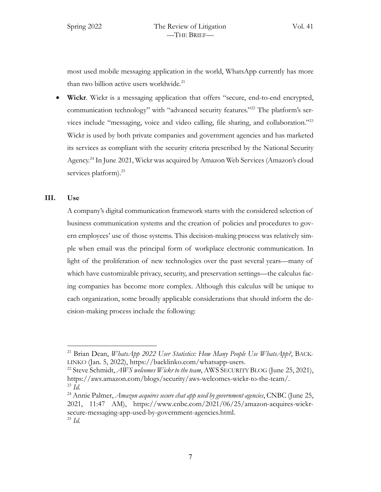most used mobile messaging application in the world, WhatsApp currently has more than two billion active users worldwide.<sup>21</sup>

• **Wickr**. Wickr is a messaging application that offers "secure, end-to-end encrypted, communication technology" with "advanced security features."22 The platform's services include "messaging, voice and video calling, file sharing, and collaboration."23 Wickr is used by both private companies and government agencies and has marketed its services as compliant with the security criteria prescribed by the National Security Agency.24 In June 2021, Wickr was acquired by Amazon Web Services (Amazon's cloud services platform).<sup>25</sup>

### **III. Use**

A company's digital communication framework starts with the considered selection of business communication systems and the creation of policies and procedures to govern employees' use of those systems. This decision-making process was relatively simple when email was the principal form of workplace electronic communication. In light of the proliferation of new technologies over the past several years—many of which have customizable privacy, security, and preservation settings—the calculus facing companies has become more complex. Although this calculus will be unique to each organization, some broadly applicable considerations that should inform the decision-making process include the following:

<sup>21</sup> Brian Dean, *WhatsApp 2022 User Statistics: How Many People Use WhatsApp?*, BACK-LINKO (Jan. 5, 2022), https://backlinko.com/whatsapp-users.

<sup>&</sup>lt;sup>22</sup> Steve Schmidt, *AWS welcomes Wickr to the team*, AWS SECURITY BLOG (June 25, 2021), https://aws.amazon.com/blogs/security/aws-welcomes-wickr-to-the-team/.  $^{23}$   $\overline{Id}$ .

<sup>&</sup>lt;sup>24</sup> Annie Palmer, *Amazon acquires secure chat app used by government agencies*, CNBC (June 25, 2021, 11:47 AM), https://www.cnbc.com/2021/06/25/amazon-acquires-wickrsecure-messaging-app-used-by-government-agencies.html. <sup>25</sup> *Id.*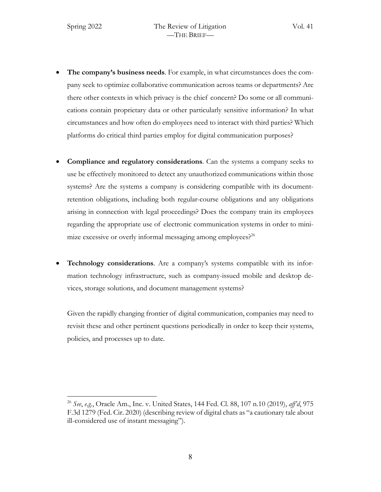- **The company's business needs**. For example, in what circumstances does the company seek to optimize collaborative communication across teams or departments? Are there other contexts in which privacy is the chief concern? Do some or all communications contain proprietary data or other particularly sensitive information? In what circumstances and how often do employees need to interact with third parties? Which platforms do critical third parties employ for digital communication purposes?
- **Compliance and regulatory considerations**. Can the systems a company seeks to use be effectively monitored to detect any unauthorized communications within those systems? Are the systems a company is considering compatible with its documentretention obligations, including both regular-course obligations and any obligations arising in connection with legal proceedings? Does the company train its employees regarding the appropriate use of electronic communication systems in order to minimize excessive or overly informal messaging among employees? $2^{26}$
- **Technology considerations**. Are a company's systems compatible with its information technology infrastructure, such as company-issued mobile and desktop devices, storage solutions, and document management systems?

Given the rapidly changing frontier of digital communication, companies may need to revisit these and other pertinent questions periodically in order to keep their systems, policies, and processes up to date.

<sup>26</sup> *See*, *e.g.*, Oracle Am., Inc. v. United States, 144 Fed. Cl. 88, 107 n.10 (2019), *aff'd*, 975 F.3d 1279 (Fed. Cir. 2020) (describing review of digital chats as "a cautionary tale about ill-considered use of instant messaging").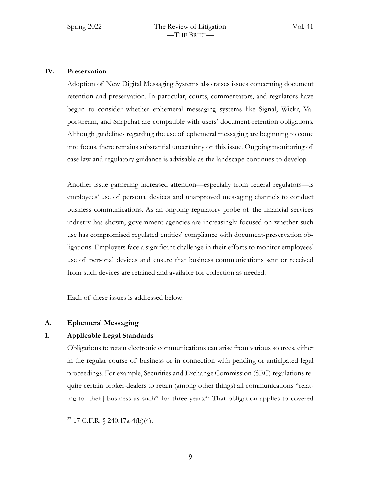### **IV. Preservation**

Adoption of New Digital Messaging Systems also raises issues concerning document retention and preservation. In particular, courts, commentators, and regulators have begun to consider whether ephemeral messaging systems like Signal, Wickr, Vaporstream, and Snapchat are compatible with users' document-retention obligations. Although guidelines regarding the use of ephemeral messaging are beginning to come into focus, there remains substantial uncertainty on this issue. Ongoing monitoring of case law and regulatory guidance is advisable as the landscape continues to develop.

Another issue garnering increased attention—especially from federal regulators—is employees' use of personal devices and unapproved messaging channels to conduct business communications. As an ongoing regulatory probe of the financial services industry has shown, government agencies are increasingly focused on whether such use has compromised regulated entities' compliance with document-preservation obligations. Employers face a significant challenge in their efforts to monitor employees' use of personal devices and ensure that business communications sent or received from such devices are retained and available for collection as needed.

Each of these issues is addressed below.

# **A. Ephemeral Messaging**

# **1. Applicable Legal Standards**

Obligations to retain electronic communications can arise from various sources, either in the regular course of business or in connection with pending or anticipated legal proceedings. For example, Securities and Exchange Commission (SEC) regulations require certain broker-dealers to retain (among other things) all communications "relating to [their] business as such" for three years.<sup>27</sup> That obligation applies to covered

<sup>&</sup>lt;sup>27</sup> 17 C.F.R.  $\sqrt{240.17a-4(b)(4)}$ .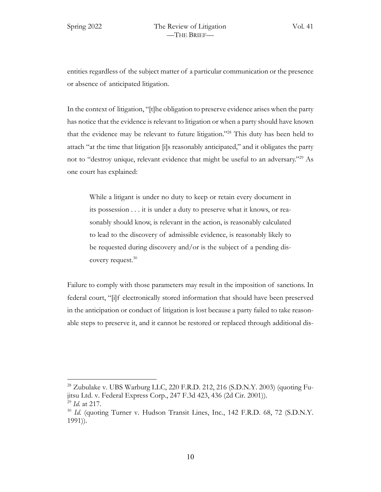entities regardless of the subject matter of a particular communication or the presence or absence of anticipated litigation.

In the context of litigation, "[t]he obligation to preserve evidence arises when the party has notice that the evidence is relevant to litigation or when a party should have known that the evidence may be relevant to future litigation."28 This duty has been held to attach "at the time that litigation [i]s reasonably anticipated," and it obligates the party not to "destroy unique, relevant evidence that might be useful to an adversary."29 As one court has explained:

While a litigant is under no duty to keep or retain every document in its possession . . . it is under a duty to preserve what it knows, or reasonably should know, is relevant in the action, is reasonably calculated to lead to the discovery of admissible evidence, is reasonably likely to be requested during discovery and/or is the subject of a pending discovery request.<sup>30</sup>

Failure to comply with those parameters may result in the imposition of sanctions. In federal court, "[i]f electronically stored information that should have been preserved in the anticipation or conduct of litigation is lost because a party failed to take reasonable steps to preserve it, and it cannot be restored or replaced through additional dis-

<sup>&</sup>lt;sup>28</sup> Zubulake v. UBS Warburg LLC, 220 F.R.D. 212, 216 (S.D.N.Y. 2003) (quoting Fujitsu Ltd. v. Federal Express Corp., 247 F.3d 423, 436 (2d Cir. 2001)). <sup>29</sup> *Id.* at 217.

<sup>30</sup> *Id.* (quoting Turner v. Hudson Transit Lines, Inc*.*, 142 F.R.D. 68, 72 (S.D.N.Y. 1991)).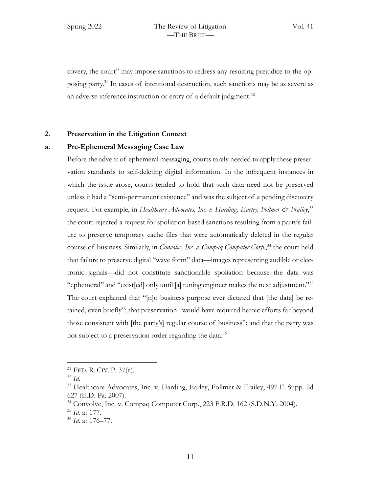Spring 2022 The Review of Litigation Vol. 41 —THE BRIEF—

covery, the court" may impose sanctions to redress any resulting prejudice to the opposing party.31 In cases of intentional destruction, such sanctions may be as severe as an adverse inference instruction or entry of a default judgment.<sup>32</sup>

# **2. Preservation in the Litigation Context**

# **a. Pre-Ephemeral Messaging Case Law**

Before the advent of ephemeral messaging, courts rarely needed to apply these preservation standards to self-deleting digital information. In the infrequent instances in which the issue arose, courts tended to hold that such data need not be preserved unless it had a "semi-permanent existence" and was the subject of a pending discovery request. For example, in *Healthcare Advocates, Inc. v. Harding, Earley, Follmer & Frailey*,<sup>33</sup> the court rejected a request for spoliation-based sanctions resulting from a party's failure to preserve temporary cache files that were automatically deleted in the regular course of business. Similarly, in *Convolve, Inc. v. Compaq Computer Corp.*, <sup>34</sup> the court held that failure to preserve digital "wave form" data—images representing audible or electronic signals—did not constitute sanctionable spoliation because the data was "ephemeral" and "exist[ed] only until [a] tuning engineer makes the next adjustment."35 The court explained that "[n]o business purpose ever dictated that [the data] be retained, even briefly"; that preservation "would have required heroic efforts far beyond those consistent with [the party's] regular course of business"; and that the party was not subject to a preservation order regarding the data.<sup>36</sup>

<sup>31</sup> FED. R. CIV. P. 37(e).

<sup>32</sup> *Id.*

<sup>33</sup> Healthcare Advocates, Inc. v. Harding, Earley, Follmer & Frailey, 497 F. Supp. 2d 627 (E.D. Pa. 2007).

 $34$  Convolve, Inc. v. Compaq Computer Corp., 223 F.R.D. 162 (S.D.N.Y. 2004).

<sup>35</sup> *Id.* at 177.

<sup>36</sup> *Id.* at 176–77.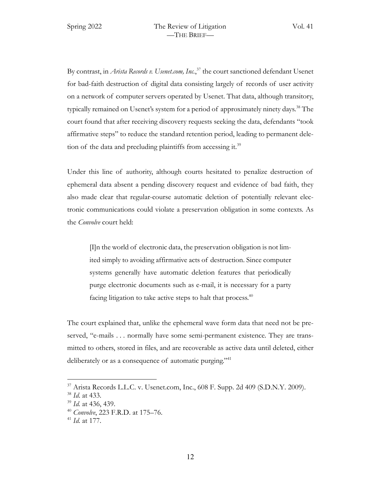By contrast, in *Arista Records v. Usenet.com, Inc.*, <sup>37</sup> the court sanctioned defendant Usenet for bad-faith destruction of digital data consisting largely of records of user activity on a network of computer servers operated by Usenet. That data, although transitory, typically remained on Usenet's system for a period of approximately ninety days.<sup>38</sup> The court found that after receiving discovery requests seeking the data, defendants "took affirmative steps" to reduce the standard retention period, leading to permanent deletion of the data and precluding plaintiffs from accessing it.<sup>39</sup>

Under this line of authority, although courts hesitated to penalize destruction of ephemeral data absent a pending discovery request and evidence of bad faith, they also made clear that regular-course automatic deletion of potentially relevant electronic communications could violate a preservation obligation in some contexts. As the *Convolve* court held:

[I]n the world of electronic data, the preservation obligation is not limited simply to avoiding affirmative acts of destruction. Since computer systems generally have automatic deletion features that periodically purge electronic documents such as e-mail, it is necessary for a party facing litigation to take active steps to halt that process. $40$ 

The court explained that, unlike the ephemeral wave form data that need not be preserved, "e-mails . . . normally have some semi-permanent existence. They are transmitted to others, stored in files, and are recoverable as active data until deleted, either deliberately or as a consequence of automatic purging."<sup>41</sup>

 $37$  Arista Records L.L.C. v. Usenet.com, Inc., 608 F. Supp. 2d 409 (S.D.N.Y. 2009).

<sup>38</sup> *Id*. at 433.

<sup>39</sup> *Id.* at 436, 439.

<sup>40</sup> *Convolve*, 223 F.R.D. at 175–76.

<sup>41</sup> *Id.* at 177.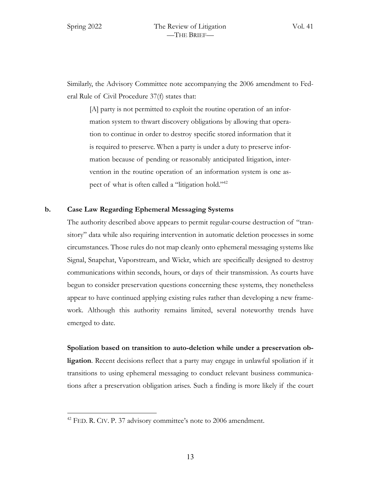Similarly, the Advisory Committee note accompanying the 2006 amendment to Federal Rule of Civil Procedure 37(f) states that:

[A] party is not permitted to exploit the routine operation of an information system to thwart discovery obligations by allowing that operation to continue in order to destroy specific stored information that it is required to preserve. When a party is under a duty to preserve information because of pending or reasonably anticipated litigation, intervention in the routine operation of an information system is one aspect of what is often called a "litigation hold."<sup>42</sup>

### **b. Case Law Regarding Ephemeral Messaging Systems**

The authority described above appears to permit regular-course destruction of "transitory" data while also requiring intervention in automatic deletion processes in some circumstances. Those rules do not map cleanly onto ephemeral messaging systems like Signal, Snapchat, Vaporstream, and Wickr, which are specifically designed to destroy communications within seconds, hours, or days of their transmission. As courts have begun to consider preservation questions concerning these systems, they nonetheless appear to have continued applying existing rules rather than developing a new framework. Although this authority remains limited, several noteworthy trends have emerged to date.

**Spoliation based on transition to auto-deletion while under a preservation obligation**. Recent decisions reflect that a party may engage in unlawful spoliation if it transitions to using ephemeral messaging to conduct relevant business communications after a preservation obligation arises. Such a finding is more likely if the court

 $42$  FED. R. CIV. P. 37 advisory committee's note to 2006 amendment.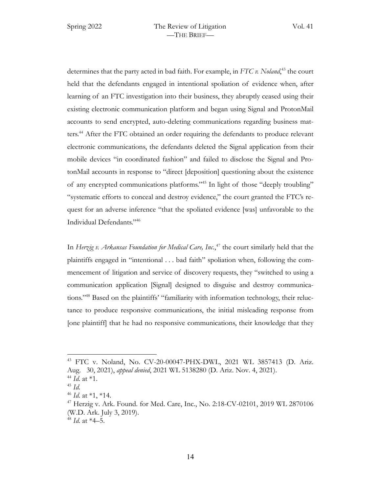determines that the party acted in bad faith. For example, in *FTC v. Noland*, <sup>43</sup> the court held that the defendants engaged in intentional spoliation of evidence when, after learning of an FTC investigation into their business, they abruptly ceased using their existing electronic communication platform and began using Signal and ProtonMail accounts to send encrypted, auto-deleting communications regarding business matters.44 After the FTC obtained an order requiring the defendants to produce relevant electronic communications, the defendants deleted the Signal application from their mobile devices "in coordinated fashion" and failed to disclose the Signal and ProtonMail accounts in response to "direct [deposition] questioning about the existence of any encrypted communications platforms."45 In light of those "deeply troubling" "systematic efforts to conceal and destroy evidence," the court granted the FTC's request for an adverse inference "that the spoliated evidence [was] unfavorable to the Individual Defendants."46

In *Herzig v. Arkansas Foundation for Medical Care, Inc.*, <sup>47</sup> the court similarly held that the plaintiffs engaged in "intentional . . . bad faith" spoliation when, following the commencement of litigation and service of discovery requests, they "switched to using a communication application [Signal] designed to disguise and destroy communications."48 Based on the plaintiffs' "familiarity with information technology, their reluctance to produce responsive communications, the initial misleading response from [one plaintiff] that he had no responsive communications, their knowledge that they

<sup>43</sup> FTC v. Noland, No. CV-20-00047-PHX-DWL, 2021 WL 3857413 (D. Ariz. Aug. 30, 2021), *appeal denied*, 2021 WL 5138280 (D. Ariz. Nov. 4, 2021).

<sup>44</sup> *Id.* at \*1. <sup>45</sup> *Id.*

<sup>46</sup> *Id.* at \*1, \*14.

 $^{47}$  Herzig v. Ark. Found. for Med. Care, Inc., No. 2:18-CV-02101, 2019 WL 2870106 (W.D. Ark. July 3, 2019).

<sup>48</sup> *Id.* at \*4–5.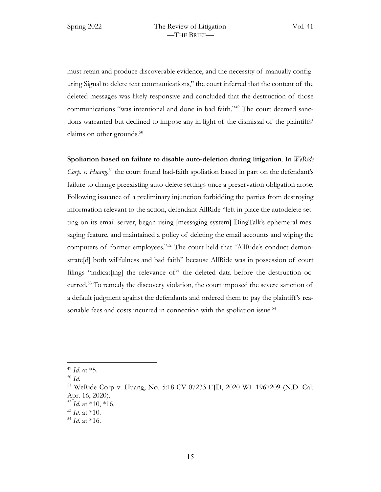must retain and produce discoverable evidence, and the necessity of manually configuring Signal to delete text communications," the court inferred that the content of the deleted messages was likely responsive and concluded that the destruction of those communications "was intentional and done in bad faith."<sup>49</sup> The court deemed sanctions warranted but declined to impose any in light of the dismissal of the plaintiffs' claims on other grounds. $50$ 

**Spoliation based on failure to disable auto-deletion during litigation**. In *WeRide*  Corp. v. Huang,<sup>51</sup> the court found bad-faith spoliation based in part on the defendant's failure to change preexisting auto-delete settings once a preservation obligation arose. Following issuance of a preliminary injunction forbidding the parties from destroying information relevant to the action, defendant AllRide "left in place the autodelete setting on its email server, began using [messaging system] DingTalk's ephemeral messaging feature, and maintained a policy of deleting the email accounts and wiping the computers of former employees."52 The court held that "AllRide's conduct demonstrate[d] both willfulness and bad faith" because AllRide was in possession of court filings "indicat [ing] the relevance of" the deleted data before the destruction occurred.<sup>53</sup> To remedy the discovery violation, the court imposed the severe sanction of a default judgment against the defendants and ordered them to pay the plaintiff 's reasonable fees and costs incurred in connection with the spoliation issue.<sup>54</sup>

<sup>49</sup> *Id.* at \*5.

<sup>50</sup> *Id.*

<sup>51</sup> WeRide Corp v. Huang, No. 5:18-CV-07233-EJD, 2020 WL 1967209 (N.D. Cal. Apr. 16, 2020).

<sup>52</sup> *Id.* at \*10, \*16.

<sup>53</sup> *Id.* at \*10.

<sup>54</sup> *Id.* at \*16.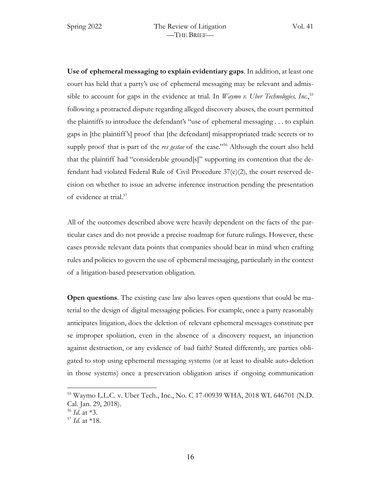**Use of ephemeral messaging to explain evidentiary gaps**. In addition, at least one court has held that a party's use of ephemeral messaging may be relevant and admissible to account for gaps in the evidence at trial. In *Waymo v. Uber Technologies, Inc.*, 55 following a protracted dispute regarding alleged discovery abuses, the court permitted the plaintiffs to introduce the defendant's "use of ephemeral messaging . . . to explain gaps in [the plaintiff 's] proof that [the defendant] misappropriated trade secrets or to supply proof that is part of the *res gestae* of the case."56 Although the court also held that the plaintiff had "considerable ground[s]" supporting its contention that the defendant had violated Federal Rule of Civil Procedure  $37(e)(2)$ , the court reserved decision on whether to issue an adverse inference instruction pending the presentation of evidence at trial.<sup>57</sup>

All of the outcomes described above were heavily dependent on the facts of the particular cases and do not provide a precise roadmap for future rulings. However, these cases provide relevant data points that companies should bear in mind when crafting rules and policies to govern the use of ephemeral messaging, particularly in the context of a litigation-based preservation obligation.

**Open questions**. The existing case law also leaves open questions that could be material to the design of digital messaging policies. For example, once a party reasonably anticipates litigation, does the deletion of relevant ephemeral messages constitute per se improper spoliation, even in the absence of a discovery request, an injunction against destruction, or any evidence of bad faith? Stated differently, are parties obligated to stop using ephemeral messaging systems (or at least to disable auto-deletion in those systems) once a preservation obligation arises if ongoing communication

<sup>55</sup> Waymo L.L.C. v. Uber Tech., Inc., No. C 17-00939 WHA, 2018 WL 646701 (N.D. Cal. Jan. 29, 2018).

<sup>56</sup> *Id.* at \*3.

<sup>57</sup> *Id.* at \*18.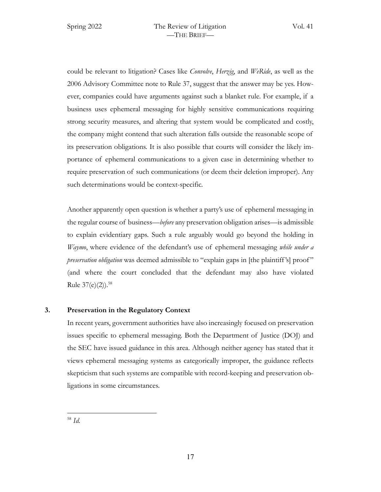could be relevant to litigation? Cases like *Convolve*, *Herzig*, and *WeRide*, as well as the 2006 Advisory Committee note to Rule 37, suggest that the answer may be yes. However, companies could have arguments against such a blanket rule. For example, if a business uses ephemeral messaging for highly sensitive communications requiring strong security measures, and altering that system would be complicated and costly, the company might contend that such alteration falls outside the reasonable scope of its preservation obligations. It is also possible that courts will consider the likely importance of ephemeral communications to a given case in determining whether to require preservation of such communications (or deem their deletion improper). Any such determinations would be context-specific.

Another apparently open question is whether a party's use of ephemeral messaging in the regular course of business—*before* any preservation obligation arises—is admissible to explain evidentiary gaps. Such a rule arguably would go beyond the holding in *Waymo*, where evidence of the defendant's use of ephemeral messaging *while under a preservation obligation* was deemed admissible to "explain gaps in [the plaintiff's] proof" (and where the court concluded that the defendant may also have violated Rule  $37(e)(2)$ ).<sup>58</sup>

# **3. Preservation in the Regulatory Context**

In recent years, government authorities have also increasingly focused on preservation issues specific to ephemeral messaging. Both the Department of Justice (DOJ) and the SEC have issued guidance in this area. Although neither agency has stated that it views ephemeral messaging systems as categorically improper, the guidance reflects skepticism that such systems are compatible with record-keeping and preservation obligations in some circumstances.

<sup>58</sup> *Id.*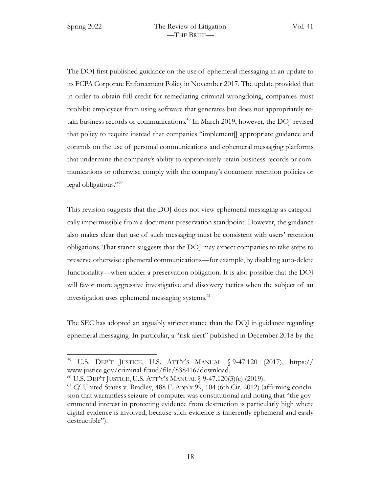The DOJ first published guidance on the use of ephemeral messaging in an update to its FCPA Corporate Enforcement Policy in November 2017. The update provided that in order to obtain full credit for remediating criminal wrongdoing, companies must prohibit employees from using software that generates but does not appropriately retain business records or communications.<sup>59</sup> In March 2019, however, the DOJ revised that policy to require instead that companies "implement[] appropriate guidance and controls on the use of personal communications and ephemeral messaging platforms that undermine the company's ability to appropriately retain business records or communications or otherwise comply with the company's document retention policies or legal obligations."60

This revision suggests that the DOJ does not view ephemeral messaging as categorically impermissible from a document-preservation standpoint. However, the guidance also makes clear that use of such messaging must be consistent with users' retention obligations. That stance suggests that the DOJ may expect companies to take steps to preserve otherwise ephemeral communications—for example, by disabling auto-delete functionality—when under a preservation obligation. It is also possible that the DOJ will favor more aggressive investigative and discovery tactics when the subject of an investigation uses ephemeral messaging systems.<sup>61</sup>

The SEC has adopted an arguably stricter stance than the DOJ in guidance regarding ephemeral messaging. In particular, a "risk alert" published in December 2018 by the

<sup>&</sup>lt;sup>59</sup> U.S. DEP'T JUSTICE, U.S. ATT'Y'S MANUAL  $\S$  9-47.120 (2017), https:// www.justice.gov/criminal-fraud/file/838416/download.

<sup>60</sup> U.S. DEP'T JUSTICE, U.S. ATT'Y'S MANUAL § 9-47.120(3)(c) (2019).

<sup>61</sup> *Cf.* United States v. Bradley, 488 F. App'x 99, 104 (6th Cir. 2012) (affirming conclusion that warrantless seizure of computer was constitutional and noting that "the governmental interest in protecting evidence from destruction is particularly high where digital evidence is involved, because such evidence is inherently ephemeral and easily destructible").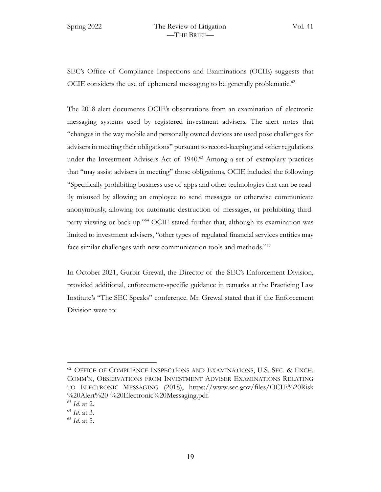SEC's Office of Compliance Inspections and Examinations (OCIE) suggests that OCIE considers the use of ephemeral messaging to be generally problematic.<sup>62</sup>

The 2018 alert documents OCIE's observations from an examination of electronic messaging systems used by registered investment advisers. The alert notes that "changes in the way mobile and personally owned devices are used pose challenges for advisers in meeting their obligations" pursuant to record-keeping and other regulations under the Investment Advisers Act of 1940.<sup>63</sup> Among a set of exemplary practices that "may assist advisers in meeting" those obligations, OCIE included the following: "Specifically prohibiting business use of apps and other technologies that can be readily misused by allowing an employee to send messages or otherwise communicate anonymously, allowing for automatic destruction of messages, or prohibiting thirdparty viewing or back-up."64 OCIE stated further that, although its examination was limited to investment advisers, "other types of regulated financial services entities may face similar challenges with new communication tools and methods."65

In October 2021, Gurbir Grewal, the Director of the SEC's Enforcement Division, provided additional, enforcement-specific guidance in remarks at the Practicing Law Institute's "The SEC Speaks" conference. Mr. Grewal stated that if the Enforcement Division were to:

 $62$  OFFICE OF COMPLIANCE INSPECTIONS AND EXAMINATIONS, U.S. SEC. & EXCH. COMM'N, OBSERVATIONS FROM INVESTMENT ADVISER EXAMINATIONS RELATING TO ELECTRONIC MESSAGING (2018), https://www.sec.gov/files/OCIE%20Risk %20Alert%20-%20Electronic%20Messaging.pdf.

<sup>63</sup> *Id.* at 2.

<sup>64</sup> *Id.* at 3.

<sup>65</sup> *Id.* at 5.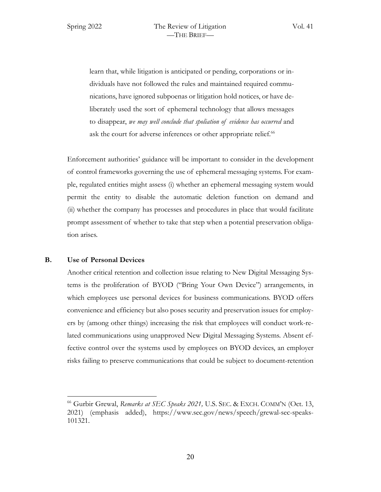learn that, while litigation is anticipated or pending, corporations or individuals have not followed the rules and maintained required communications, have ignored subpoenas or litigation hold notices, or have deliberately used the sort of ephemeral technology that allows messages to disappear, *we may well conclude that spoliation of evidence has occurred* and ask the court for adverse inferences or other appropriate relief.<sup>66</sup>

Enforcement authorities' guidance will be important to consider in the development of control frameworks governing the use of ephemeral messaging systems. For example, regulated entities might assess (i) whether an ephemeral messaging system would permit the entity to disable the automatic deletion function on demand and (ii) whether the company has processes and procedures in place that would facilitate prompt assessment of whether to take that step when a potential preservation obligation arises.

### **B. Use of Personal Devices**

Another critical retention and collection issue relating to New Digital Messaging Systems is the proliferation of BYOD ("Bring Your Own Device") arrangements, in which employees use personal devices for business communications. BYOD offers convenience and efficiency but also poses security and preservation issues for employers by (among other things) increasing the risk that employees will conduct work-related communications using unapproved New Digital Messaging Systems. Absent effective control over the systems used by employees on BYOD devices, an employer risks failing to preserve communications that could be subject to document-retention

<sup>66</sup> Gurbir Grewal, *Remarks at SEC Speaks 2021,* U.S. SEC. & EXCH. COMM'N (Oct. 13, 2021) (emphasis added), https://www.sec.gov/news/speech/grewal-sec-speaks-101321.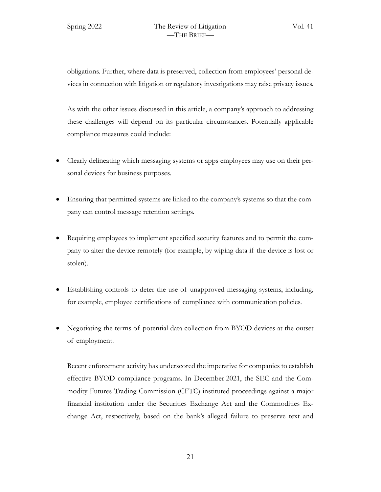obligations. Further, where data is preserved, collection from employees' personal devices in connection with litigation or regulatory investigations may raise privacy issues.

As with the other issues discussed in this article, a company's approach to addressing these challenges will depend on its particular circumstances. Potentially applicable compliance measures could include:

- Clearly delineating which messaging systems or apps employees may use on their personal devices for business purposes.
- Ensuring that permitted systems are linked to the company's systems so that the company can control message retention settings.
- Requiring employees to implement specified security features and to permit the company to alter the device remotely (for example, by wiping data if the device is lost or stolen).
- Establishing controls to deter the use of unapproved messaging systems, including, for example, employee certifications of compliance with communication policies.
- Negotiating the terms of potential data collection from BYOD devices at the outset of employment.

Recent enforcement activity has underscored the imperative for companies to establish effective BYOD compliance programs. In December 2021, the SEC and the Commodity Futures Trading Commission (CFTC) instituted proceedings against a major financial institution under the Securities Exchange Act and the Commodities Exchange Act, respectively, based on the bank's alleged failure to preserve text and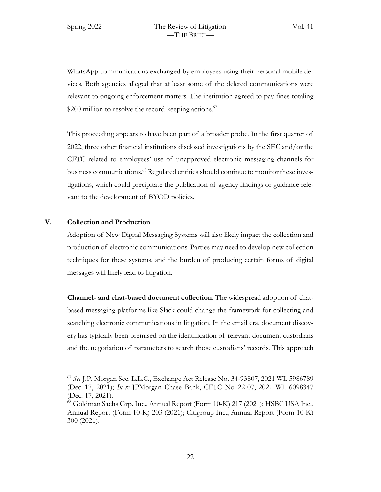WhatsApp communications exchanged by employees using their personal mobile devices. Both agencies alleged that at least some of the deleted communications were relevant to ongoing enforcement matters. The institution agreed to pay fines totaling  $$200$  million to resolve the record-keeping actions.<sup>67</sup>

This proceeding appears to have been part of a broader probe. In the first quarter of 2022, three other financial institutions disclosed investigations by the SEC and/or the CFTC related to employees' use of unapproved electronic messaging channels for business communications.<sup>68</sup> Regulated entities should continue to monitor these investigations, which could precipitate the publication of agency findings or guidance relevant to the development of BYOD policies.

# **V. Collection and Production**

Adoption of New Digital Messaging Systems will also likely impact the collection and production of electronic communications. Parties may need to develop new collection techniques for these systems, and the burden of producing certain forms of digital messages will likely lead to litigation.

**Channel- and chat-based document collection**. The widespread adoption of chatbased messaging platforms like Slack could change the framework for collecting and searching electronic communications in litigation. In the email era, document discovery has typically been premised on the identification of relevant document custodians and the negotiation of parameters to search those custodians' records. This approach

<sup>67</sup> *See* J.P. Morgan Sec. L.L.C., Exchange Act Release No. 34-93807, 2021 WL 5986789 (Dec. 17, 2021); *In re* JPMorgan Chase Bank, CFTC No. 22-07, 2021 WL 6098347 (Dec. 17, 2021).

<sup>68</sup> Goldman Sachs Grp. Inc., Annual Report (Form 10-K) 217 (2021); HSBC USA Inc., Annual Report (Form 10-K) 203 (2021); Citigroup Inc., Annual Report (Form 10-K) 300 (2021).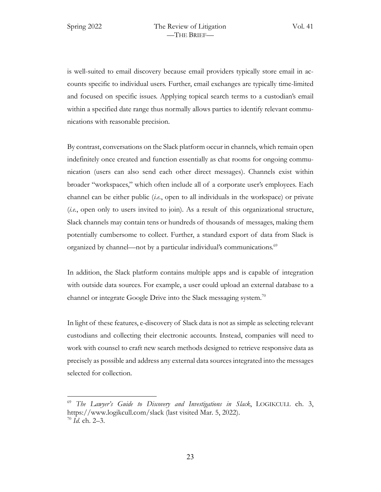is well-suited to email discovery because email providers typically store email in accounts specific to individual users. Further, email exchanges are typically time-limited and focused on specific issues. Applying topical search terms to a custodian's email within a specified date range thus normally allows parties to identify relevant communications with reasonable precision.

By contrast, conversations on the Slack platform occur in channels, which remain open indefinitely once created and function essentially as chat rooms for ongoing communication (users can also send each other direct messages). Channels exist within broader "workspaces," which often include all of a corporate user's employees. Each channel can be either public (*i.e.*, open to all individuals in the workspace) or private (*i.e.*, open only to users invited to join). As a result of this organizational structure, Slack channels may contain tens or hundreds of thousands of messages, making them potentially cumbersome to collect. Further, a standard export of data from Slack is organized by channel—not by a particular individual's communications.<sup>69</sup>

In addition, the Slack platform contains multiple apps and is capable of integration with outside data sources. For example, a user could upload an external database to a channel or integrate Google Drive into the Slack messaging system.<sup>70</sup>

In light of these features, e-discovery of Slack data is not as simple as selecting relevant custodians and collecting their electronic accounts. Instead, companies will need to work with counsel to craft new search methods designed to retrieve responsive data as precisely as possible and address any external data sources integrated into the messages selected for collection.

<sup>69</sup> *The Lawyer's Guide to Discovery and Investigations in Slack*, LOGIKCULL ch. 3, https://www.logikcull.com/slack (last visited Mar. 5, 2022). <sup>70</sup> *Id.* ch. 2–3.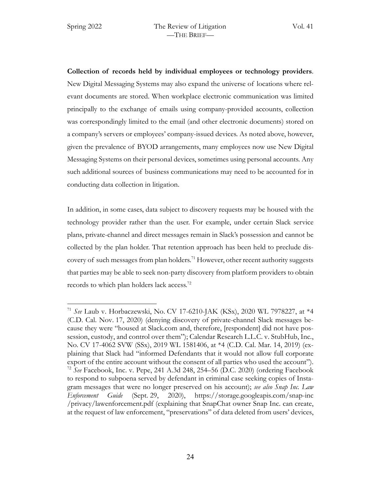**Collection of records held by individual employees or technology providers**. New Digital Messaging Systems may also expand the universe of locations where relevant documents are stored. When workplace electronic communication was limited principally to the exchange of emails using company-provided accounts, collection was correspondingly limited to the email (and other electronic documents) stored on a company's servers or employees' company-issued devices. As noted above, however, given the prevalence of BYOD arrangements, many employees now use New Digital Messaging Systems on their personal devices, sometimes using personal accounts. Any such additional sources of business communications may need to be accounted for in conducting data collection in litigation.

In addition, in some cases, data subject to discovery requests may be housed with the technology provider rather than the user. For example, under certain Slack service plans, private-channel and direct messages remain in Slack's possession and cannot be collected by the plan holder. That retention approach has been held to preclude discovery of such messages from plan holders.<sup>71</sup> However, other recent authority suggests that parties may be able to seek non-party discovery from platform providers to obtain records to which plan holders lack access.72

<sup>71</sup> *See* Laub v. Horbaczewski, No. CV 17-6210-JAK (KSx), 2020 WL 7978227, at \*4 (C.D. Cal. Nov. 17, 2020) (denying discovery of private-channel Slack messages because they were "housed at Slack.com and, therefore, [respondent] did not have possession, custody, and control over them"); Calendar Research L.L.C. v. StubHub, Inc*.*, No. CV 17-4062 SVW (SSx), 2019 WL 1581406, at \*4 (C.D. Cal. Mar. 14, 2019) (explaining that Slack had "informed Defendants that it would not allow full corporate export of the entire account without the consent of all parties who used the account"). <sup>72</sup> *See* Facebook, Inc. v. Pepe, 241 A.3d 248, 254–56 (D.C. 2020) (ordering Facebook to respond to subpoena served by defendant in criminal case seeking copies of Instagram messages that were no longer preserved on his account); *see also Snap Inc. Law Enforcement Guide* (Sept. 29, 2020), https://storage.googleapis.com/snap-inc /privacy/lawenforcement.pdf (explaining that SnapChat owner Snap Inc. can create, at the request of law enforcement, "preservations" of data deleted from users' devices,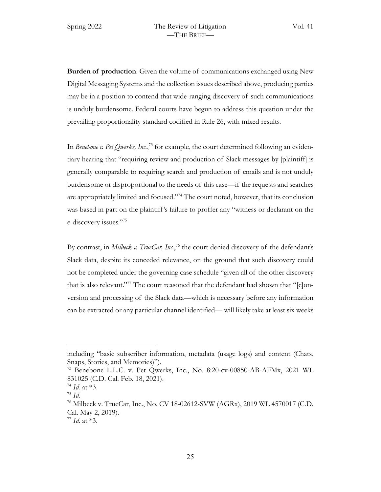**Burden of production**. Given the volume of communications exchanged using New Digital Messaging Systems and the collection issues described above, producing parties may be in a position to contend that wide-ranging discovery of such communications is unduly burdensome. Federal courts have begun to address this question under the prevailing proportionality standard codified in Rule 26, with mixed results.

In *Benebone v. Pet Qwerks, Inc.*,<sup>73</sup> for example, the court determined following an evidentiary hearing that "requiring review and production of Slack messages by [plaintiff] is generally comparable to requiring search and production of emails and is not unduly burdensome or disproportional to the needs of this case—if the requests and searches are appropriately limited and focused."74 The court noted, however, that its conclusion was based in part on the plaintiff 's failure to proffer any "witness or declarant on the e-discovery issues."75

By contrast, in *Milbeck v. TrueCar*, Inc.,<sup>76</sup> the court denied discovery of the defendant's Slack data, despite its conceded relevance, on the ground that such discovery could not be completed under the governing case schedule "given all of the other discovery that is also relevant."<sup>77</sup> The court reasoned that the defendant had shown that "[c]onversion and processing of the Slack data—which is necessary before any information can be extracted or any particular channel identified— will likely take at least six weeks

including "basic subscriber information, metadata (usage logs) and content (Chats, Snaps, Stories, and Memories)").

<sup>73</sup> Benebone L.L.C. v. Pet Qwerks, Inc., No. 8:20-cv-00850-AB-AFMx, 2021 WL 831025 (C.D. Cal. Feb. 18, 2021).

 $^{74}$  *Id.* at \*3.

<sup>75</sup> *Id.*

<sup>76</sup> Milbeck v. TrueCar, Inc., No. CV 18-02612-SVW (AGRx), 2019 WL 4570017 (C.D. Cal. May 2, 2019).

<sup>77</sup> *Id.* at \*3.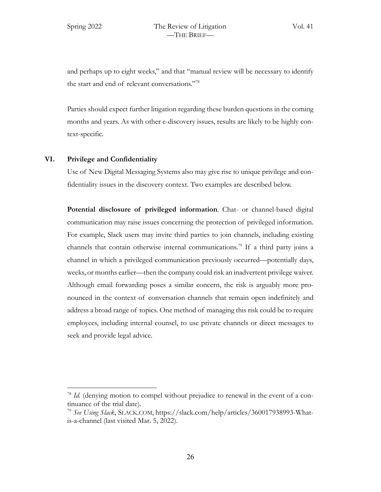and perhaps up to eight weeks," and that "manual review will be necessary to identify the start and end of relevant conversations."78

Parties should expect further litigation regarding these burden questions in the coming months and years. As with other e-discovery issues, results are likely to be highly context-specific.

### **VI. Privilege and Confidentiality**

Use of New Digital Messaging Systems also may give rise to unique privilege and confidentiality issues in the discovery context. Two examples are described below.

**Potential disclosure of privileged information**. Chat- or channel-based digital communication may raise issues concerning the protection of privileged information. For example, Slack users may invite third parties to join channels, including existing channels that contain otherwise internal communications.79 If a third party joins a channel in which a privileged communication previously occurred—potentially days, weeks, or months earlier—then the company could risk an inadvertent privilege waiver. Although email forwarding poses a similar concern, the risk is arguably more pronounced in the context of conversation channels that remain open indefinitely and address a broad range of topics. One method of managing this risk could be to require employees, including internal counsel, to use private channels or direct messages to seek and provide legal advice.

<sup>&</sup>lt;sup>78</sup> *Id.* (denying motion to compel without prejudice to renewal in the event of a continuance of the trial date).

<sup>79</sup> *See Using Slack*, SLACK.COM, https://slack.com/help/articles/360017938993-Whatis-a-channel (last visited Mar. 5, 2022).